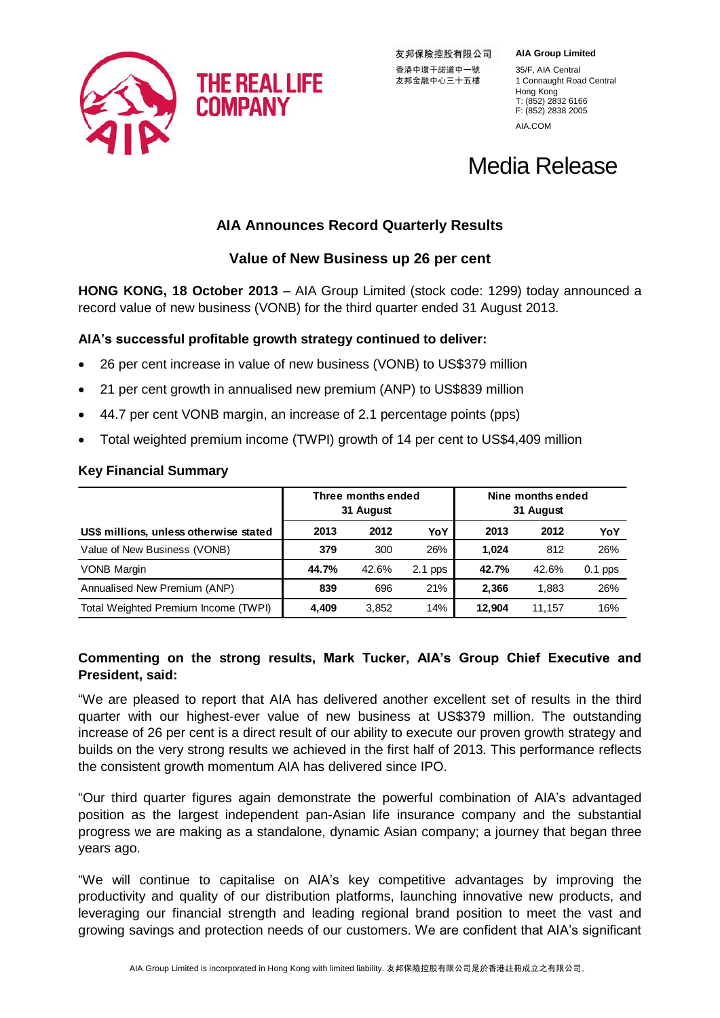

友邦保險控股有限公司 友邦金融中心三十五樓

**AIA Group Limited**

香港中環干諾道中一號 35/F, AIA Central<br>友邦金融中心三十五樓 1 Connaught Road Central Hong Kong T: (852) 2832 6166 F: (852) 2838 2005 AIA.COM

# Media Release

# **AIA Announces Record Quarterly Results**

## **Value of New Business up 26 per cent**

**HONG KONG, 18 October 2013** – AIA Group Limited (stock code: 1299) today announced a record value of new business (VONB) for the third quarter ended 31 August 2013.

## **AIA's successful profitable growth strategy continued to deliver:**

- 26 per cent increase in value of new business (VONB) to US\$379 million
- 21 per cent growth in annualised new premium (ANP) to US\$839 million
- 44.7 per cent VONB margin, an increase of 2.1 percentage points (pps)
- Total weighted premium income (TWPI) growth of 14 per cent to US\$4,409 million

#### **Key Financial Summary**

|                                        | Three months ended<br>31 August |       |           | Nine months ended<br>31 August |        |           |
|----------------------------------------|---------------------------------|-------|-----------|--------------------------------|--------|-----------|
| US\$ millions, unless otherwise stated | 2013                            | 2012  | YoY       | 2013                           | 2012   | YoY       |
| Value of New Business (VONB)           | 379                             | 300   | 26%       | 1.024                          | 812    | 26%       |
| <b>VONB Margin</b>                     | 44.7%                           | 42.6% | $2.1$ pps | 42.7%                          | 42.6%  | $0.1$ pps |
| Annualised New Premium (ANP)           | 839                             | 696   | 21%       | 2.366                          | 1.883  | 26%       |
| Total Weighted Premium Income (TWPI)   | 4.409                           | 3,852 | 14%       | 12.904                         | 11.157 | 16%       |

## **Commenting on the strong results, Mark Tucker, AIA's Group Chief Executive and President, said:**

"We are pleased to report that AIA has delivered another excellent set of results in the third quarter with our highest-ever value of new business at US\$379 million. The outstanding increase of 26 per cent is a direct result of our ability to execute our proven growth strategy and builds on the very strong results we achieved in the first half of 2013. This performance reflects the consistent growth momentum AIA has delivered since IPO.

"Our third quarter figures again demonstrate the powerful combination of AIA's advantaged position as the largest independent pan-Asian life insurance company and the substantial progress we are making as a standalone, dynamic Asian company; a journey that began three years ago.

"We will continue to capitalise on AIA's key competitive advantages by improving the productivity and quality of our distribution platforms, launching innovative new products, and leveraging our financial strength and leading regional brand position to meet the vast and growing savings and protection needs of our customers. We are confident that AIA's significant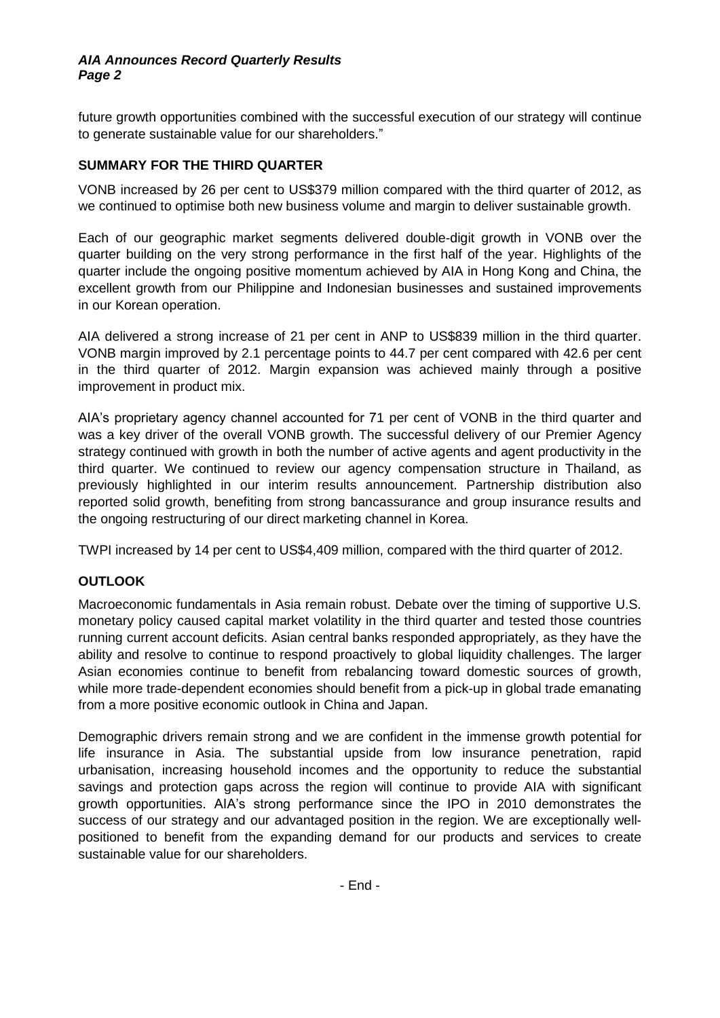#### *AIA Announces Record Quarterly Results Page 2*

future growth opportunities combined with the successful execution of our strategy will continue to generate sustainable value for our shareholders."

## **SUMMARY FOR THE THIRD QUARTER**

VONB increased by 26 per cent to US\$379 million compared with the third quarter of 2012, as we continued to optimise both new business volume and margin to deliver sustainable growth.

Each of our geographic market segments delivered double-digit growth in VONB over the quarter building on the very strong performance in the first half of the year. Highlights of the quarter include the ongoing positive momentum achieved by AIA in Hong Kong and China, the excellent growth from our Philippine and Indonesian businesses and sustained improvements in our Korean operation.

AIA delivered a strong increase of 21 per cent in ANP to US\$839 million in the third quarter. VONB margin improved by 2.1 percentage points to 44.7 per cent compared with 42.6 per cent in the third quarter of 2012. Margin expansion was achieved mainly through a positive improvement in product mix.

AIA's proprietary agency channel accounted for 71 per cent of VONB in the third quarter and was a key driver of the overall VONB growth. The successful delivery of our Premier Agency strategy continued with growth in both the number of active agents and agent productivity in the third quarter. We continued to review our agency compensation structure in Thailand, as previously highlighted in our interim results announcement. Partnership distribution also reported solid growth, benefiting from strong bancassurance and group insurance results and the ongoing restructuring of our direct marketing channel in Korea.

TWPI increased by 14 per cent to US\$4,409 million, compared with the third quarter of 2012.

## **OUTLOOK**

Macroeconomic fundamentals in Asia remain robust. Debate over the timing of supportive U.S. monetary policy caused capital market volatility in the third quarter and tested those countries running current account deficits. Asian central banks responded appropriately, as they have the ability and resolve to continue to respond proactively to global liquidity challenges. The larger Asian economies continue to benefit from rebalancing toward domestic sources of growth, while more trade-dependent economies should benefit from a pick-up in global trade emanating from a more positive economic outlook in China and Japan.

Demographic drivers remain strong and we are confident in the immense growth potential for life insurance in Asia. The substantial upside from low insurance penetration, rapid urbanisation, increasing household incomes and the opportunity to reduce the substantial savings and protection gaps across the region will continue to provide AIA with significant growth opportunities. AIA's strong performance since the IPO in 2010 demonstrates the success of our strategy and our advantaged position in the region. We are exceptionally wellpositioned to benefit from the expanding demand for our products and services to create sustainable value for our shareholders.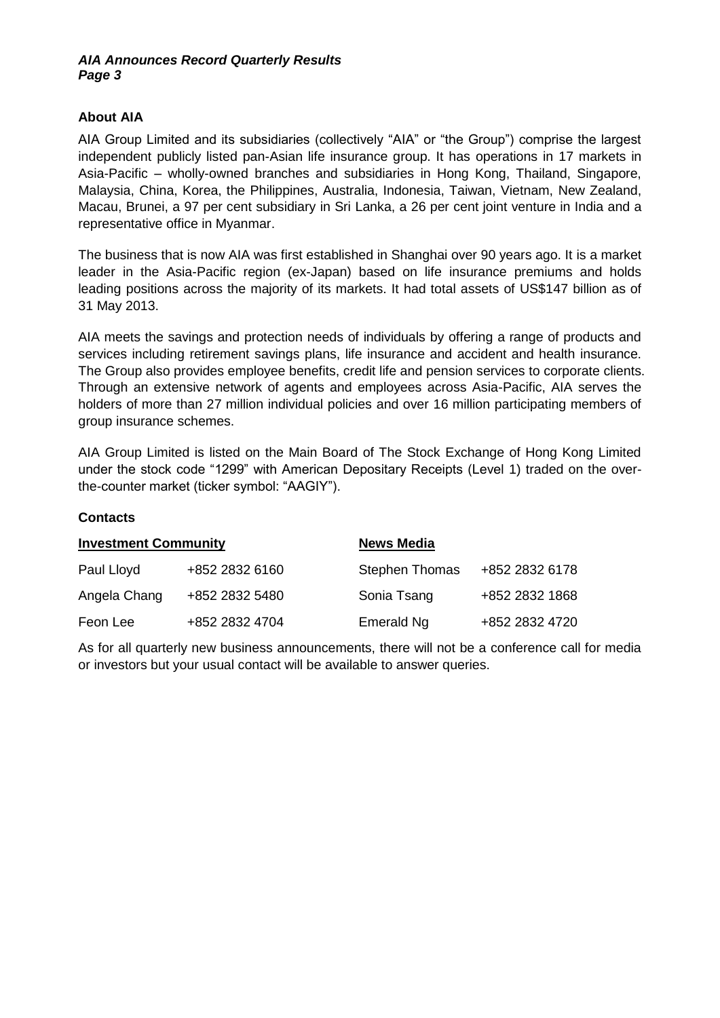#### *AIA Announces Record Quarterly Results Page 3*

## **About AIA**

AIA Group Limited and its subsidiaries (collectively "AIA" or "the Group") comprise the largest independent publicly listed pan-Asian life insurance group. It has operations in 17 markets in Asia-Pacific – wholly-owned branches and subsidiaries in Hong Kong, Thailand, Singapore, Malaysia, China, Korea, the Philippines, Australia, Indonesia, Taiwan, Vietnam, New Zealand, Macau, Brunei, a 97 per cent subsidiary in Sri Lanka, a 26 per cent joint venture in India and a representative office in Myanmar.

The business that is now AIA was first established in Shanghai over 90 years ago. It is a market leader in the Asia-Pacific region (ex-Japan) based on life insurance premiums and holds leading positions across the majority of its markets. It had total assets of US\$147 billion as of 31 May 2013.

AIA meets the savings and protection needs of individuals by offering a range of products and services including retirement savings plans, life insurance and accident and health insurance. The Group also provides employee benefits, credit life and pension services to corporate clients. Through an extensive network of agents and employees across Asia-Pacific, AIA serves the holders of more than 27 million individual policies and over 16 million participating members of group insurance schemes.

AIA Group Limited is listed on the Main Board of The Stock Exchange of Hong Kong Limited under the stock code "1299" with American Depositary Receipts (Level 1) traded on the overthe-counter market (ticker symbol: "AAGIY").

#### **Contacts**

| <b>Investment Community</b> |                | <b>News Media</b>     |                |  |  |  |
|-----------------------------|----------------|-----------------------|----------------|--|--|--|
| Paul Lloyd                  | +852 2832 6160 | <b>Stephen Thomas</b> | +852 2832 6178 |  |  |  |
| Angela Chang                | +852 2832 5480 | Sonia Tsang           | +852 2832 1868 |  |  |  |
| Feon Lee                    | +852 2832 4704 | Emerald Ng            | +852 2832 4720 |  |  |  |

As for all quarterly new business announcements, there will not be a conference call for media or investors but your usual contact will be available to answer queries.